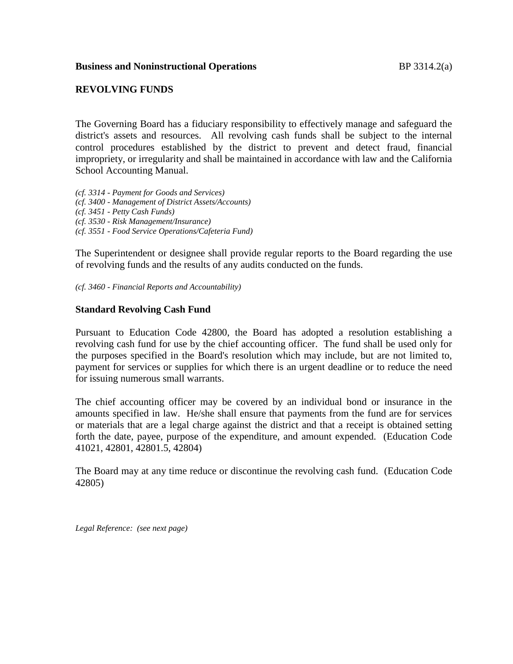## **Business and Noninstructional Operations BP 3314.2(a)**

# **REVOLVING FUNDS**

The Governing Board has a fiduciary responsibility to effectively manage and safeguard the district's assets and resources. All revolving cash funds shall be subject to the internal control procedures established by the district to prevent and detect fraud, financial impropriety, or irregularity and shall be maintained in accordance with law and the California School Accounting Manual.

*(cf. 3314 - Payment for Goods and Services) (cf. 3400 - Management of District Assets/Accounts) (cf. 3451 - Petty Cash Funds)*

*(cf. 3530 - Risk Management/Insurance)*

*(cf. 3551 - Food Service Operations/Cafeteria Fund)*

The Superintendent or designee shall provide regular reports to the Board regarding the use of revolving funds and the results of any audits conducted on the funds.

*(cf. 3460 - Financial Reports and Accountability)*

## **Standard Revolving Cash Fund**

Pursuant to Education Code 42800, the Board has adopted a resolution establishing a revolving cash fund for use by the chief accounting officer. The fund shall be used only for the purposes specified in the Board's resolution which may include, but are not limited to, payment for services or supplies for which there is an urgent deadline or to reduce the need for issuing numerous small warrants.

The chief accounting officer may be covered by an individual bond or insurance in the amounts specified in law. He/she shall ensure that payments from the fund are for services or materials that are a legal charge against the district and that a receipt is obtained setting forth the date, payee, purpose of the expenditure, and amount expended. (Education Code 41021, 42801, 42801.5, 42804)

The Board may at any time reduce or discontinue the revolving cash fund. (Education Code 42805)

*Legal Reference: (see next page)*